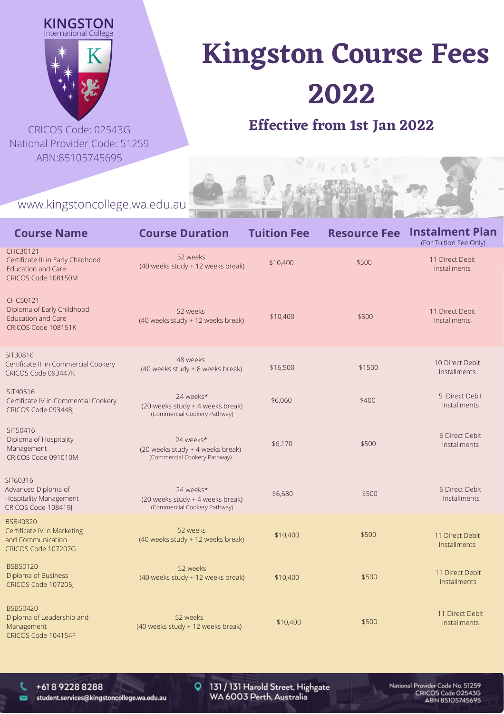



National Provider Code: 51259 ABN:85105745695

## **Kingston Course Fees 2022**

## CRICOS Code: 02543G **Effective from 1st Jan 2022**

 $\sim$   $\sqrt{1}$ 

www.kingstoncollege.wa.edu.au

| <b>Course Name</b>                                                                                 | <b>Course Duration</b>                                                        | <b>Tuition Fee</b> | <b>Resource Fee</b> | <b>Instalment Plan</b><br>(For Tuition Fee Only) |
|----------------------------------------------------------------------------------------------------|-------------------------------------------------------------------------------|--------------------|---------------------|--------------------------------------------------|
| CHC30121<br>Certificate III in Early Childhood<br><b>Education and Care</b><br>CRICOS Code 108150M | 52 weeks<br>(40 weeks study + 12 weeks break)                                 | \$10,400           | \$500               | 11 Direct Debit<br>Installments                  |
| CHC50121<br>Diploma of Early Childhood<br><b>Education and Care</b><br>CRICOS Code 108151K         | 52 weeks<br>(40 weeks study + 12 weeks break)                                 | \$10,400           | \$500               | 11 Direct Debit<br>Installments                  |
| SIT30816<br>Certificate III in Commercial Cookery<br>CRICOS Code 093447K                           | 48 weeks<br>(40 weeks study + 8 weeks break)                                  | \$16,500           | \$1500              | 10 Direct Debit<br>Installments                  |
| SIT40516<br>Certificate IV in Commercial Cookery<br>CRICOS Code 093448J                            | 24 weeks*<br>(20 weeks study + 4 weeks break)<br>(Commercial Cookery Pathway) | \$6,060            | \$400               | 5 Direct Debit<br>Installments                   |
| SIT50416<br>Diploma of Hospitality<br>Management<br>CRICOS Code 091010M                            | 24 weeks*<br>(20 weeks study + 4 weeks break)<br>(Commercial Cookery Pathway) | \$6,170            | \$500               | 6 Direct Debit<br>Installments                   |
| SIT60316<br>Advanced Diploma of<br>Hospitality Management<br>CRICOS Code 108419J                   | 24 weeks*<br>(20 weeks study + 4 weeks break)<br>(Commercial Cookery Pathway) | \$6,680            | \$500               | 6 Direct Debit<br>Installments                   |
| BSB40820<br>Certificate IV in Marketing<br>and Communication<br>CRICOS Code 107207G                | 52 weeks<br>(40 weeks study + 12 weeks break)                                 | \$10,400           | \$500               | 11 Direct Debit<br>Installments                  |
| BSB50120<br>Diploma of Business<br>CRICOS Code 107205                                              | 52 weeks<br>(40 weeks study + 12 weeks break)                                 | \$10,400           | \$500               | 11 Direct Debit<br>Installments                  |
| BSB50420<br>Diploma of Leadership and<br>Management<br>CRICOS Code 104154F                         | 52 weeks<br>(40 weeks study + 12 weeks break)                                 | \$10,400           | \$500               | 11 Direct Debit<br><b>Installments</b>           |

t.

凾

131 / 131 Harold Street, Highgate WA 6003 Perth, Australia

 $\circ$